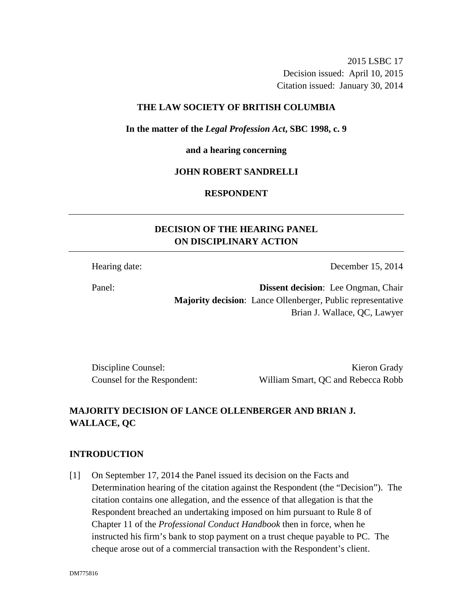2015 LSBC 17 Decision issued: April 10, 2015 Citation issued: January 30, 2014

### **THE LAW SOCIETY OF BRITISH COLUMBIA**

**In the matter of the** *Legal Profession Act***, SBC 1998, c. 9** 

**and a hearing concerning** 

### **JOHN ROBERT SANDRELLI**

## **RESPONDENT**

# **DECISION OF THE HEARING PANEL ON DISCIPLINARY ACTION**

Hearing date: December 15, 2014

Panel: **Dissent decision**: Lee Ongman, Chair **Majority decision**: Lance Ollenberger, Public representative Brian J. Wallace, QC, Lawyer

Discipline Counsel: Kieron Grady Counsel for the Respondent: William Smart, QC and Rebecca Robb

# **MAJORITY DECISION OF LANCE OLLENBERGER AND BRIAN J. WALLACE, QC**

# **INTRODUCTION**

[1] On September 17, 2014 the Panel issued its decision on the Facts and Determination hearing of the citation against the Respondent (the "Decision"). The citation contains one allegation, and the essence of that allegation is that the Respondent breached an undertaking imposed on him pursuant to Rule 8 of Chapter 11 of the *Professional Conduct Handbook* then in force, when he instructed his firm's bank to stop payment on a trust cheque payable to PC. The cheque arose out of a commercial transaction with the Respondent's client.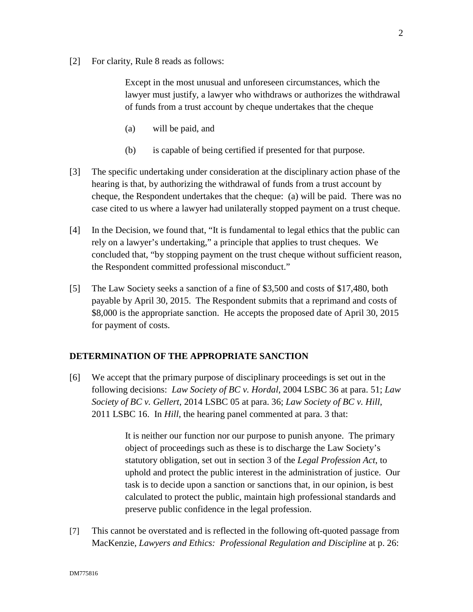[2] For clarity, Rule 8 reads as follows:

Except in the most unusual and unforeseen circumstances, which the lawyer must justify, a lawyer who withdraws or authorizes the withdrawal of funds from a trust account by cheque undertakes that the cheque

- (a) will be paid, and
- (b) is capable of being certified if presented for that purpose.
- [3] The specific undertaking under consideration at the disciplinary action phase of the hearing is that, by authorizing the withdrawal of funds from a trust account by cheque, the Respondent undertakes that the cheque: (a) will be paid. There was no case cited to us where a lawyer had unilaterally stopped payment on a trust cheque.
- [4] In the Decision, we found that, "It is fundamental to legal ethics that the public can rely on a lawyer's undertaking," a principle that applies to trust cheques. We concluded that, "by stopping payment on the trust cheque without sufficient reason, the Respondent committed professional misconduct."
- [5] The Law Society seeks a sanction of a fine of \$3,500 and costs of \$17,480, both payable by April 30, 2015. The Respondent submits that a reprimand and costs of \$8,000 is the appropriate sanction. He accepts the proposed date of April 30, 2015 for payment of costs.

### **DETERMINATION OF THE APPROPRIATE SANCTION**

[6] We accept that the primary purpose of disciplinary proceedings is set out in the following decisions: *Law Society of BC v. Hordal*, 2004 LSBC 36 at para. 51; *Law Society of BC v. Gellert*, 2014 LSBC 05 at para. 36; *Law Society of BC v. Hill*, 2011 LSBC 16. In *Hill*, the hearing panel commented at para. 3 that:

> It is neither our function nor our purpose to punish anyone. The primary object of proceedings such as these is to discharge the Law Society's statutory obligation, set out in section 3 of the *Legal Profession Act*, to uphold and protect the public interest in the administration of justice. Our task is to decide upon a sanction or sanctions that, in our opinion, is best calculated to protect the public, maintain high professional standards and preserve public confidence in the legal profession.

[7] This cannot be overstated and is reflected in the following oft-quoted passage from MacKenzie, *Lawyers and Ethics: Professional Regulation and Discipline* at p. 26: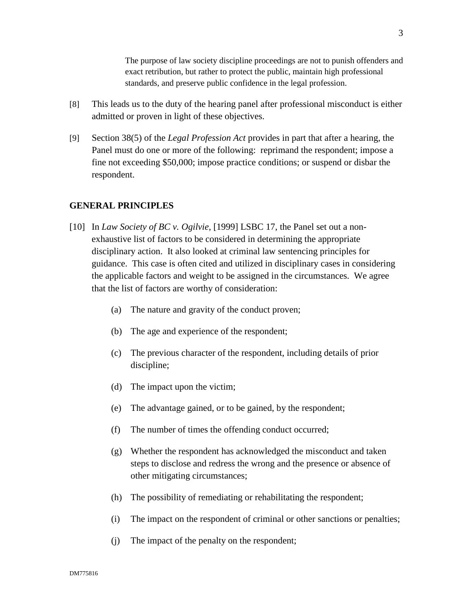The purpose of law society discipline proceedings are not to punish offenders and exact retribution, but rather to protect the public, maintain high professional standards, and preserve public confidence in the legal profession.

- [8] This leads us to the duty of the hearing panel after professional misconduct is either admitted or proven in light of these objectives.
- [9] Section 38(5) of the *Legal Profession Act* provides in part that after a hearing, the Panel must do one or more of the following: reprimand the respondent; impose a fine not exceeding \$50,000; impose practice conditions; or suspend or disbar the respondent.

# **GENERAL PRINCIPLES**

- [10] In *Law Society of BC v. Ogilvie*, [1999] LSBC 17, the Panel set out a nonexhaustive list of factors to be considered in determining the appropriate disciplinary action. It also looked at criminal law sentencing principles for guidance. This case is often cited and utilized in disciplinary cases in considering the applicable factors and weight to be assigned in the circumstances. We agree that the list of factors are worthy of consideration:
	- (a) The nature and gravity of the conduct proven;
	- (b) The age and experience of the respondent;
	- (c) The previous character of the respondent, including details of prior discipline;
	- (d) The impact upon the victim;
	- (e) The advantage gained, or to be gained, by the respondent;
	- (f) The number of times the offending conduct occurred;
	- (g) Whether the respondent has acknowledged the misconduct and taken steps to disclose and redress the wrong and the presence or absence of other mitigating circumstances;
	- (h) The possibility of remediating or rehabilitating the respondent;
	- (i) The impact on the respondent of criminal or other sanctions or penalties;
	- (j) The impact of the penalty on the respondent;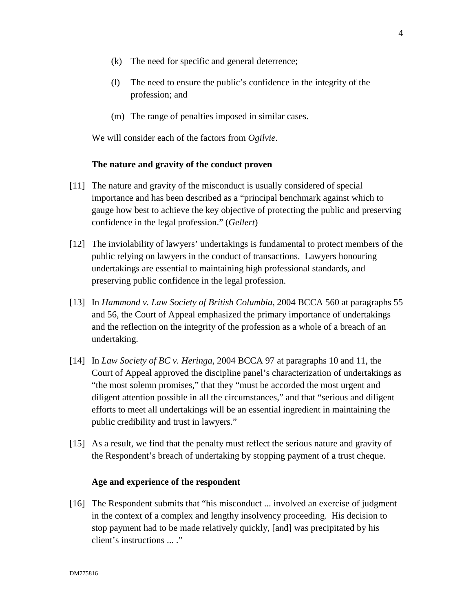- (k) The need for specific and general deterrence;
- (l) The need to ensure the public's confidence in the integrity of the profession; and
- (m) The range of penalties imposed in similar cases.

We will consider each of the factors from *Ogilvie*.

### **The nature and gravity of the conduct proven**

- [11] The nature and gravity of the misconduct is usually considered of special importance and has been described as a "principal benchmark against which to gauge how best to achieve the key objective of protecting the public and preserving confidence in the legal profession." (*Gellert*)
- [12] The inviolability of lawyers' undertakings is fundamental to protect members of the public relying on lawyers in the conduct of transactions. Lawyers honouring undertakings are essential to maintaining high professional standards, and preserving public confidence in the legal profession.
- [13] In *Hammond v. Law Society of British Columbia*, 2004 BCCA 560 at paragraphs 55 and 56, the Court of Appeal emphasized the primary importance of undertakings and the reflection on the integrity of the profession as a whole of a breach of an undertaking.
- [14] In *Law Society of BC v. Heringa*, 2004 BCCA 97 at paragraphs 10 and 11, the Court of Appeal approved the discipline panel's characterization of undertakings as "the most solemn promises," that they "must be accorded the most urgent and diligent attention possible in all the circumstances," and that "serious and diligent efforts to meet all undertakings will be an essential ingredient in maintaining the public credibility and trust in lawyers."
- [15] As a result, we find that the penalty must reflect the serious nature and gravity of the Respondent's breach of undertaking by stopping payment of a trust cheque.

### **Age and experience of the respondent**

[16] The Respondent submits that "his misconduct ... involved an exercise of judgment in the context of a complex and lengthy insolvency proceeding. His decision to stop payment had to be made relatively quickly, [and] was precipitated by his client's instructions ... ."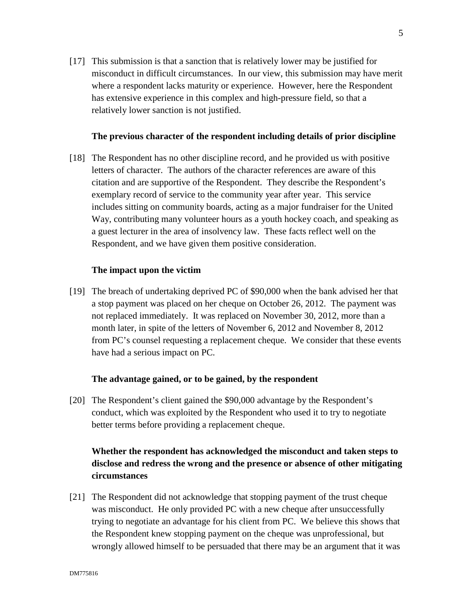[17] This submission is that a sanction that is relatively lower may be justified for misconduct in difficult circumstances. In our view, this submission may have merit where a respondent lacks maturity or experience. However, here the Respondent has extensive experience in this complex and high-pressure field, so that a relatively lower sanction is not justified.

### **The previous character of the respondent including details of prior discipline**

[18] The Respondent has no other discipline record, and he provided us with positive letters of character. The authors of the character references are aware of this citation and are supportive of the Respondent. They describe the Respondent's exemplary record of service to the community year after year. This service includes sitting on community boards, acting as a major fundraiser for the United Way, contributing many volunteer hours as a youth hockey coach, and speaking as a guest lecturer in the area of insolvency law. These facts reflect well on the Respondent, and we have given them positive consideration.

### **The impact upon the victim**

[19] The breach of undertaking deprived PC of \$90,000 when the bank advised her that a stop payment was placed on her cheque on October 26, 2012. The payment was not replaced immediately. It was replaced on November 30, 2012, more than a month later, in spite of the letters of November 6, 2012 and November 8, 2012 from PC's counsel requesting a replacement cheque. We consider that these events have had a serious impact on PC.

#### **The advantage gained, or to be gained, by the respondent**

[20] The Respondent's client gained the \$90,000 advantage by the Respondent's conduct, which was exploited by the Respondent who used it to try to negotiate better terms before providing a replacement cheque.

# **Whether the respondent has acknowledged the misconduct and taken steps to disclose and redress the wrong and the presence or absence of other mitigating circumstances**

[21] The Respondent did not acknowledge that stopping payment of the trust cheque was misconduct. He only provided PC with a new cheque after unsuccessfully trying to negotiate an advantage for his client from PC. We believe this shows that the Respondent knew stopping payment on the cheque was unprofessional, but wrongly allowed himself to be persuaded that there may be an argument that it was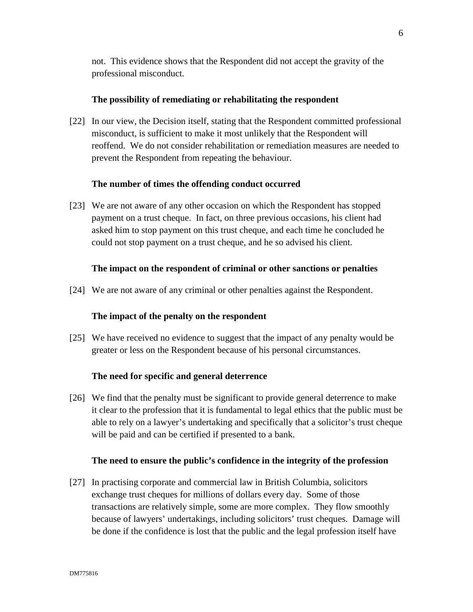not. This evidence shows that the Respondent did not accept the gravity of the professional misconduct.

### **The possibility of remediating or rehabilitating the respondent**

[22] In our view, the Decision itself, stating that the Respondent committed professional misconduct, is sufficient to make it most unlikely that the Respondent will reoffend. We do not consider rehabilitation or remediation measures are needed to prevent the Respondent from repeating the behaviour.

### **The number of times the offending conduct occurred**

[23] We are not aware of any other occasion on which the Respondent has stopped payment on a trust cheque. In fact, on three previous occasions, his client had asked him to stop payment on this trust cheque, and each time he concluded he could not stop payment on a trust cheque, and he so advised his client.

#### **The impact on the respondent of criminal or other sanctions or penalties**

[24] We are not aware of any criminal or other penalties against the Respondent.

## **The impact of the penalty on the respondent**

[25] We have received no evidence to suggest that the impact of any penalty would be greater or less on the Respondent because of his personal circumstances.

#### **The need for specific and general deterrence**

[26] We find that the penalty must be significant to provide general deterrence to make it clear to the profession that it is fundamental to legal ethics that the public must be able to rely on a lawyer's undertaking and specifically that a solicitor's trust cheque will be paid and can be certified if presented to a bank.

#### **The need to ensure the public's confidence in the integrity of the profession**

[27] In practising corporate and commercial law in British Columbia, solicitors exchange trust cheques for millions of dollars every day. Some of those transactions are relatively simple, some are more complex. They flow smoothly because of lawyers' undertakings, including solicitors' trust cheques. Damage will be done if the confidence is lost that the public and the legal profession itself have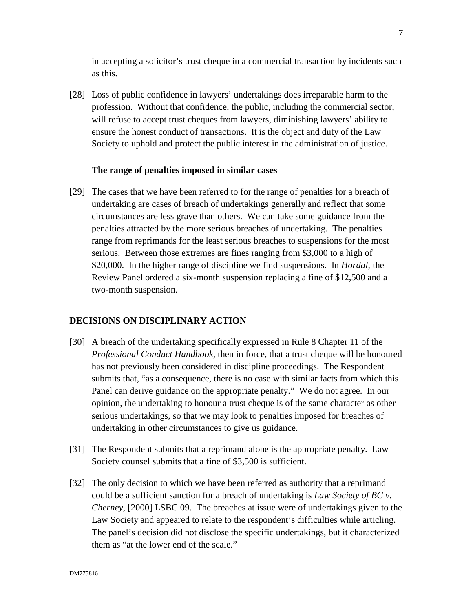in accepting a solicitor's trust cheque in a commercial transaction by incidents such as this.

[28] Loss of public confidence in lawyers' undertakings does irreparable harm to the profession. Without that confidence, the public, including the commercial sector, will refuse to accept trust cheques from lawyers, diminishing lawyers' ability to ensure the honest conduct of transactions. It is the object and duty of the Law Society to uphold and protect the public interest in the administration of justice.

### **The range of penalties imposed in similar cases**

[29] The cases that we have been referred to for the range of penalties for a breach of undertaking are cases of breach of undertakings generally and reflect that some circumstances are less grave than others. We can take some guidance from the penalties attracted by the more serious breaches of undertaking. The penalties range from reprimands for the least serious breaches to suspensions for the most serious. Between those extremes are fines ranging from \$3,000 to a high of \$20,000. In the higher range of discipline we find suspensions. In *Hordal*, the Review Panel ordered a six-month suspension replacing a fine of \$12,500 and a two-month suspension.

#### **DECISIONS ON DISCIPLINARY ACTION**

- [30] A breach of the undertaking specifically expressed in Rule 8 Chapter 11 of the *Professional Conduct Handbook*, then in force, that a trust cheque will be honoured has not previously been considered in discipline proceedings. The Respondent submits that, "as a consequence, there is no case with similar facts from which this Panel can derive guidance on the appropriate penalty." We do not agree. In our opinion, the undertaking to honour a trust cheque is of the same character as other serious undertakings, so that we may look to penalties imposed for breaches of undertaking in other circumstances to give us guidance.
- [31] The Respondent submits that a reprimand alone is the appropriate penalty. Law Society counsel submits that a fine of \$3,500 is sufficient.
- [32] The only decision to which we have been referred as authority that a reprimand could be a sufficient sanction for a breach of undertaking is *Law Society of BC v. Cherney*, [2000] LSBC 09. The breaches at issue were of undertakings given to the Law Society and appeared to relate to the respondent's difficulties while articling. The panel's decision did not disclose the specific undertakings, but it characterized them as "at the lower end of the scale."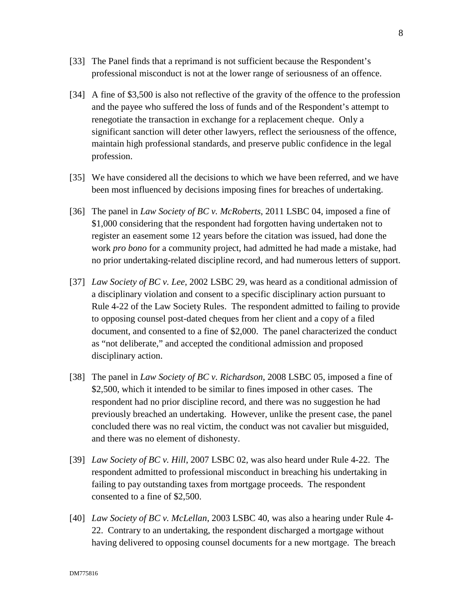- [33] The Panel finds that a reprimand is not sufficient because the Respondent's professional misconduct is not at the lower range of seriousness of an offence.
- [34] A fine of \$3,500 is also not reflective of the gravity of the offence to the profession and the payee who suffered the loss of funds and of the Respondent's attempt to renegotiate the transaction in exchange for a replacement cheque. Only a significant sanction will deter other lawyers, reflect the seriousness of the offence, maintain high professional standards, and preserve public confidence in the legal profession.
- [35] We have considered all the decisions to which we have been referred, and we have been most influenced by decisions imposing fines for breaches of undertaking.
- [36] The panel in *Law Society of BC v. McRoberts*, 2011 LSBC 04, imposed a fine of \$1,000 considering that the respondent had forgotten having undertaken not to register an easement some 12 years before the citation was issued, had done the work *pro bono* for a community project, had admitted he had made a mistake, had no prior undertaking-related discipline record, and had numerous letters of support.
- [37] *Law Society of BC v. Lee*, 2002 LSBC 29, was heard as a conditional admission of a disciplinary violation and consent to a specific disciplinary action pursuant to Rule 4-22 of the Law Society Rules. The respondent admitted to failing to provide to opposing counsel post-dated cheques from her client and a copy of a filed document, and consented to a fine of \$2,000. The panel characterized the conduct as "not deliberate," and accepted the conditional admission and proposed disciplinary action.
- [38] The panel in *Law Society of BC v. Richardson*, 2008 LSBC 05, imposed a fine of \$2,500, which it intended to be similar to fines imposed in other cases. The respondent had no prior discipline record, and there was no suggestion he had previously breached an undertaking. However, unlike the present case, the panel concluded there was no real victim, the conduct was not cavalier but misguided, and there was no element of dishonesty.
- [39] *Law Society of BC v. Hill*, 2007 LSBC 02, was also heard under Rule 4-22. The respondent admitted to professional misconduct in breaching his undertaking in failing to pay outstanding taxes from mortgage proceeds. The respondent consented to a fine of \$2,500.
- [40] *Law Society of BC v. McLellan*, 2003 LSBC 40, was also a hearing under Rule 4- 22. Contrary to an undertaking, the respondent discharged a mortgage without having delivered to opposing counsel documents for a new mortgage. The breach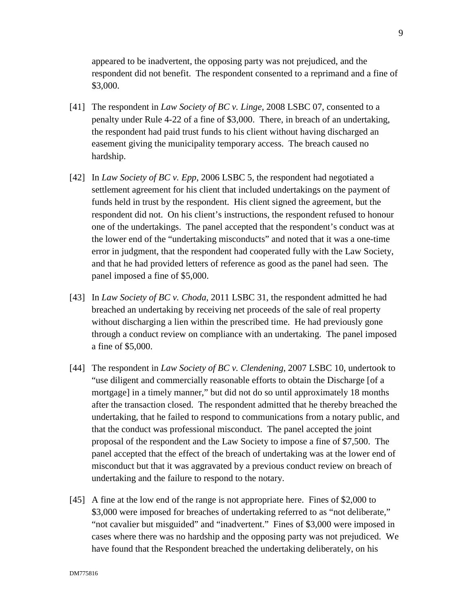appeared to be inadvertent, the opposing party was not prejudiced, and the respondent did not benefit. The respondent consented to a reprimand and a fine of \$3,000.

- [41] The respondent in *Law Society of BC v. Linge*, 2008 LSBC 07, consented to a penalty under Rule 4-22 of a fine of \$3,000. There, in breach of an undertaking, the respondent had paid trust funds to his client without having discharged an easement giving the municipality temporary access. The breach caused no hardship.
- [42] In *Law Society of BC v. Epp*, 2006 LSBC 5, the respondent had negotiated a settlement agreement for his client that included undertakings on the payment of funds held in trust by the respondent. His client signed the agreement, but the respondent did not. On his client's instructions, the respondent refused to honour one of the undertakings. The panel accepted that the respondent's conduct was at the lower end of the "undertaking misconducts" and noted that it was a one-time error in judgment, that the respondent had cooperated fully with the Law Society, and that he had provided letters of reference as good as the panel had seen. The panel imposed a fine of \$5,000.
- [43] In *Law Society of BC v. Choda*, 2011 LSBC 31, the respondent admitted he had breached an undertaking by receiving net proceeds of the sale of real property without discharging a lien within the prescribed time. He had previously gone through a conduct review on compliance with an undertaking. The panel imposed a fine of \$5,000.
- [44] The respondent in *Law Society of BC v. Clendening*, 2007 LSBC 10, undertook to "use diligent and commercially reasonable efforts to obtain the Discharge [of a mortgage] in a timely manner," but did not do so until approximately 18 months after the transaction closed. The respondent admitted that he thereby breached the undertaking, that he failed to respond to communications from a notary public, and that the conduct was professional misconduct. The panel accepted the joint proposal of the respondent and the Law Society to impose a fine of \$7,500. The panel accepted that the effect of the breach of undertaking was at the lower end of misconduct but that it was aggravated by a previous conduct review on breach of undertaking and the failure to respond to the notary.
- [45] A fine at the low end of the range is not appropriate here. Fines of \$2,000 to \$3,000 were imposed for breaches of undertaking referred to as "not deliberate," "not cavalier but misguided" and "inadvertent." Fines of \$3,000 were imposed in cases where there was no hardship and the opposing party was not prejudiced. We have found that the Respondent breached the undertaking deliberately, on his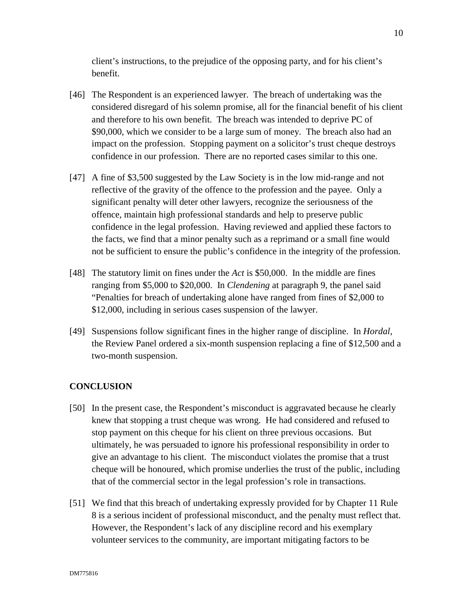client's instructions, to the prejudice of the opposing party, and for his client's benefit.

- [46] The Respondent is an experienced lawyer. The breach of undertaking was the considered disregard of his solemn promise, all for the financial benefit of his client and therefore to his own benefit. The breach was intended to deprive PC of \$90,000, which we consider to be a large sum of money. The breach also had an impact on the profession. Stopping payment on a solicitor's trust cheque destroys confidence in our profession. There are no reported cases similar to this one.
- [47] A fine of \$3,500 suggested by the Law Society is in the low mid-range and not reflective of the gravity of the offence to the profession and the payee. Only a significant penalty will deter other lawyers, recognize the seriousness of the offence, maintain high professional standards and help to preserve public confidence in the legal profession. Having reviewed and applied these factors to the facts, we find that a minor penalty such as a reprimand or a small fine would not be sufficient to ensure the public's confidence in the integrity of the profession.
- [48] The statutory limit on fines under the *Act* is \$50,000. In the middle are fines ranging from \$5,000 to \$20,000. In *Clendening* at paragraph 9, the panel said "Penalties for breach of undertaking alone have ranged from fines of \$2,000 to \$12,000, including in serious cases suspension of the lawyer.
- [49] Suspensions follow significant fines in the higher range of discipline. In *Hordal*, the Review Panel ordered a six-month suspension replacing a fine of \$12,500 and a two-month suspension.

# **CONCLUSION**

- [50] In the present case, the Respondent's misconduct is aggravated because he clearly knew that stopping a trust cheque was wrong. He had considered and refused to stop payment on this cheque for his client on three previous occasions. But ultimately, he was persuaded to ignore his professional responsibility in order to give an advantage to his client. The misconduct violates the promise that a trust cheque will be honoured, which promise underlies the trust of the public, including that of the commercial sector in the legal profession's role in transactions.
- [51] We find that this breach of undertaking expressly provided for by Chapter 11 Rule 8 is a serious incident of professional misconduct, and the penalty must reflect that. However, the Respondent's lack of any discipline record and his exemplary volunteer services to the community, are important mitigating factors to be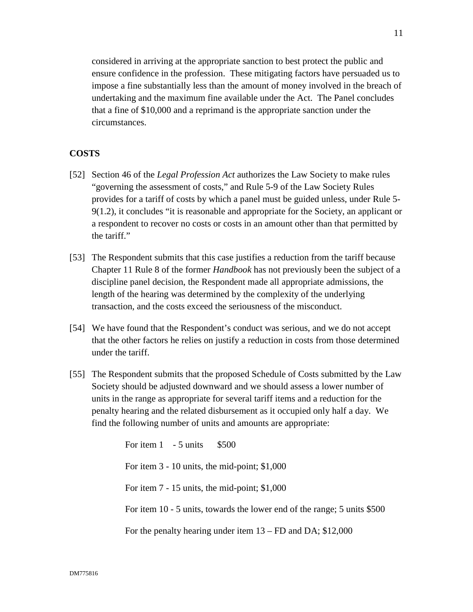considered in arriving at the appropriate sanction to best protect the public and ensure confidence in the profession. These mitigating factors have persuaded us to impose a fine substantially less than the amount of money involved in the breach of undertaking and the maximum fine available under the Act. The Panel concludes that a fine of \$10,000 and a reprimand is the appropriate sanction under the circumstances.

# **COSTS**

- [52] Section 46 of the *Legal Profession Act* authorizes the Law Society to make rules "governing the assessment of costs," and Rule 5-9 of the Law Society Rules provides for a tariff of costs by which a panel must be guided unless, under Rule 5- 9(1.2), it concludes "it is reasonable and appropriate for the Society, an applicant or a respondent to recover no costs or costs in an amount other than that permitted by the tariff."
- [53] The Respondent submits that this case justifies a reduction from the tariff because Chapter 11 Rule 8 of the former *Handbook* has not previously been the subject of a discipline panel decision, the Respondent made all appropriate admissions, the length of the hearing was determined by the complexity of the underlying transaction, and the costs exceed the seriousness of the misconduct.
- [54] We have found that the Respondent's conduct was serious, and we do not accept that the other factors he relies on justify a reduction in costs from those determined under the tariff.
- [55] The Respondent submits that the proposed Schedule of Costs submitted by the Law Society should be adjusted downward and we should assess a lower number of units in the range as appropriate for several tariff items and a reduction for the penalty hearing and the related disbursement as it occupied only half a day. We find the following number of units and amounts are appropriate:

For item  $1 - 5$  units  $$500$ For item 3 - 10 units, the mid-point; \$1,000 For item 7 - 15 units, the mid-point; \$1,000 For item 10 - 5 units, towards the lower end of the range; 5 units \$500 For the penalty hearing under item 13 – FD and DA; \$12,000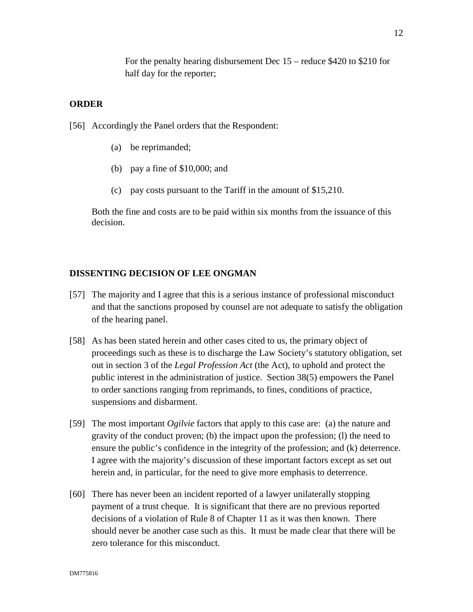For the penalty hearing disbursement Dec 15 – reduce \$420 to \$210 for half day for the reporter;

### **ORDER**

[56] Accordingly the Panel orders that the Respondent:

- (a) be reprimanded;
- (b) pay a fine of \$10,000; and
- (c) pay costs pursuant to the Tariff in the amount of \$15,210.

Both the fine and costs are to be paid within six months from the issuance of this decision.

### **DISSENTING DECISION OF LEE ONGMAN**

- [57] The majority and I agree that this is a serious instance of professional misconduct and that the sanctions proposed by counsel are not adequate to satisfy the obligation of the hearing panel.
- [58] As has been stated herein and other cases cited to us, the primary object of proceedings such as these is to discharge the Law Society's statutory obligation, set out in section 3 of the *Legal Profession Act* (the Act), to uphold and protect the public interest in the administration of justice. Section 38(5) empowers the Panel to order sanctions ranging from reprimands, to fines, conditions of practice, suspensions and disbarment.
- [59] The most important *Ogilvie* factors that apply to this case are: (a) the nature and gravity of the conduct proven; (b) the impact upon the profession; (l) the need to ensure the public's confidence in the integrity of the profession; and (k) deterrence. I agree with the majority's discussion of these important factors except as set out herein and, in particular, for the need to give more emphasis to deterrence.
- [60] There has never been an incident reported of a lawyer unilaterally stopping payment of a trust cheque. It is significant that there are no previous reported decisions of a violation of Rule 8 of Chapter 11 as it was then known. There should never be another case such as this. It must be made clear that there will be zero tolerance for this misconduct.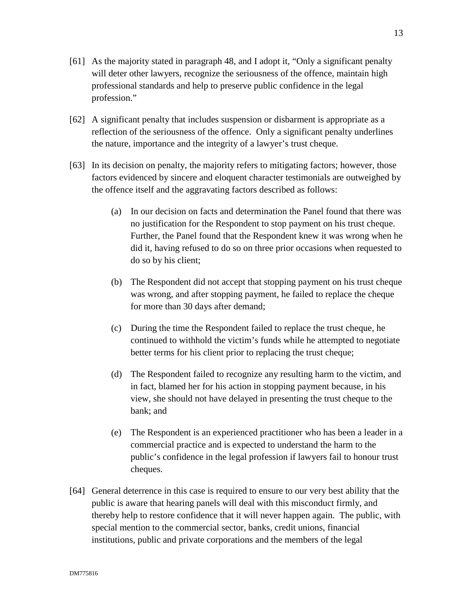- [61] As the majority stated in paragraph 48, and I adopt it, "Only a significant penalty will deter other lawyers, recognize the seriousness of the offence, maintain high professional standards and help to preserve public confidence in the legal profession."
- [62] A significant penalty that includes suspension or disbarment is appropriate as a reflection of the seriousness of the offence. Only a significant penalty underlines the nature, importance and the integrity of a lawyer's trust cheque.
- [63] In its decision on penalty, the majority refers to mitigating factors; however, those factors evidenced by sincere and eloquent character testimonials are outweighed by the offence itself and the aggravating factors described as follows:
	- (a) In our decision on facts and determination the Panel found that there was no justification for the Respondent to stop payment on his trust cheque. Further, the Panel found that the Respondent knew it was wrong when he did it, having refused to do so on three prior occasions when requested to do so by his client;
	- (b) The Respondent did not accept that stopping payment on his trust cheque was wrong, and after stopping payment, he failed to replace the cheque for more than 30 days after demand;
	- (c) During the time the Respondent failed to replace the trust cheque, he continued to withhold the victim's funds while he attempted to negotiate better terms for his client prior to replacing the trust cheque;
	- (d) The Respondent failed to recognize any resulting harm to the victim, and in fact, blamed her for his action in stopping payment because, in his view, she should not have delayed in presenting the trust cheque to the bank; and
	- (e) The Respondent is an experienced practitioner who has been a leader in a commercial practice and is expected to understand the harm to the public's confidence in the legal profession if lawyers fail to honour trust cheques.
- [64] General deterrence in this case is required to ensure to our very best ability that the public is aware that hearing panels will deal with this misconduct firmly, and thereby help to restore confidence that it will never happen again. The public, with special mention to the commercial sector, banks, credit unions, financial institutions, public and private corporations and the members of the legal